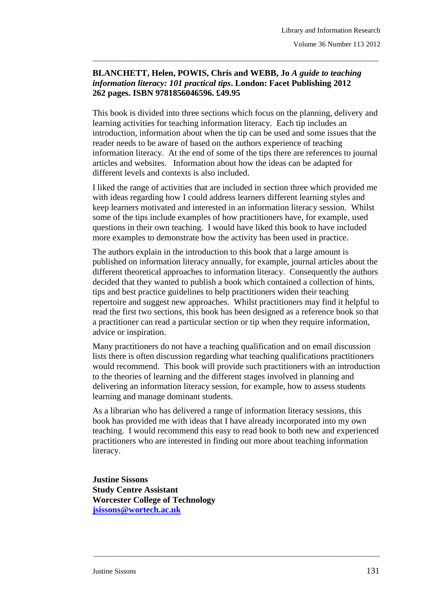## **BLANCHETT, Helen, POWIS, Chris and WEBB, Jo** *A guide to teaching information literacy: 101 practical tips***. London: Facet Publishing 2012 262 pages. ISBN 9781856046596. £49.95**

\_\_\_\_\_\_\_\_\_\_\_\_\_\_\_\_\_\_\_\_\_\_\_\_\_\_\_\_\_\_\_\_\_\_\_\_\_\_\_\_\_\_\_\_\_\_\_\_\_\_\_\_\_\_\_\_\_\_\_\_\_\_\_\_\_\_\_\_\_\_\_\_\_\_\_\_\_\_\_

This book is divided into three sections which focus on the planning, delivery and learning activities for teaching information literacy. Each tip includes an introduction, information about when the tip can be used and some issues that the reader needs to be aware of based on the authors experience of teaching information literacy. At the end of some of the tips there are references to journal articles and websites. Information about how the ideas can be adapted for different levels and contexts is also included.

I liked the range of activities that are included in section three which provided me with ideas regarding how I could address learners different learning styles and keep learners motivated and interested in an information literacy session. Whilst some of the tips include examples of how practitioners have, for example, used questions in their own teaching. I would have liked this book to have included more examples to demonstrate how the activity has been used in practice.

The authors explain in the introduction to this book that a large amount is published on information literacy annually, for example, journal articles about the different theoretical approaches to information literacy. Consequently the authors decided that they wanted to publish a book which contained a collection of hints, tips and best practice guidelines to help practitioners widen their teaching repertoire and suggest new approaches. Whilst practitioners may find it helpful to read the first two sections, this book has been designed as a reference book so that a practitioner can read a particular section or tip when they require information, advice or inspiration.

Many practitioners do not have a teaching qualification and on email discussion lists there is often discussion regarding what teaching qualifications practitioners would recommend. This book will provide such practitioners with an introduction to the theories of learning and the different stages involved in planning and delivering an information literacy session, for example, how to assess students learning and manage dominant students.

As a librarian who has delivered a range of information literacy sessions, this book has provided me with ideas that I have already incorporated into my own teaching. I would recommend this easy to read book to both new and experienced practitioners who are interested in finding out more about teaching information literacy.

\_\_\_\_\_\_\_\_\_\_\_\_\_\_\_\_\_\_\_\_\_\_\_\_\_\_\_\_\_\_\_\_\_\_\_\_\_\_\_\_\_\_\_\_\_\_\_\_\_\_\_\_\_\_\_\_\_\_\_\_\_\_\_\_\_\_\_\_\_\_\_\_\_\_\_\_\_\_\_

**Justine Sissons Study Centre Assistant Worcester College of Technology [jsissons@wortech.ac.uk](mailto:jsissons@wortech.ac.uk)**